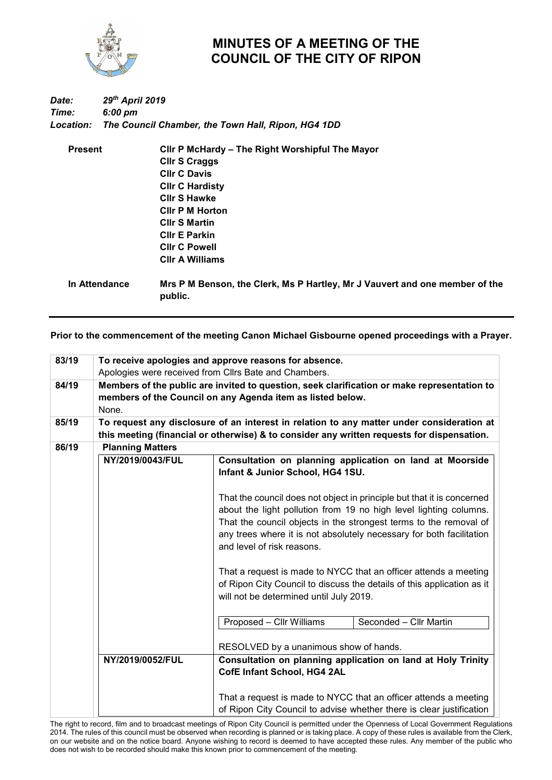

## **MINUTES OF A MEETING OF THE COUNCIL OF THE CITY OF RIPON**

## *Date: 29th April 2019 Time: 6:00 pm Location: The Council Chamber, the Town Hall, Ripon, HG4 1DD*

| <b>Present</b>       | Clir P McHardy - The Right Worshipful The Mayor            |  |  |  |
|----------------------|------------------------------------------------------------|--|--|--|
|                      | <b>Cllr S Craggs</b>                                       |  |  |  |
|                      | <b>CIIr C Davis</b>                                        |  |  |  |
|                      | <b>CIIr C Hardisty</b>                                     |  |  |  |
|                      | <b>CIIr S Hawke</b>                                        |  |  |  |
|                      | <b>CIIr P M Horton</b>                                     |  |  |  |
|                      | <b>CIIr S Martin</b>                                       |  |  |  |
|                      | <b>CIIr E Parkin</b>                                       |  |  |  |
|                      | <b>Clir C Powell</b>                                       |  |  |  |
|                      | <b>CIIr A Williams</b>                                     |  |  |  |
| <u>In Attendance</u> | Mrs P M Benson, the Clerk, Ms P Hartley, Mr. I Vauvert and |  |  |  |

**In Attendance Mrs P M Benson, the Clerk, Ms P Hartley, Mr J Vauvert and one member of the public.**

**Prior to the commencement of the meeting Canon Michael Gisbourne opened proceedings with a Prayer.**

| 83/19 | To receive apologies and approve reasons for absence.<br>Apologies were received from Cllrs Bate and Chambers.                                                                          |                                                                                                                                                                                                                                                                                                                        |                                                                                              |  |  |  |  |
|-------|-----------------------------------------------------------------------------------------------------------------------------------------------------------------------------------------|------------------------------------------------------------------------------------------------------------------------------------------------------------------------------------------------------------------------------------------------------------------------------------------------------------------------|----------------------------------------------------------------------------------------------|--|--|--|--|
|       |                                                                                                                                                                                         |                                                                                                                                                                                                                                                                                                                        |                                                                                              |  |  |  |  |
| 84/19 | Members of the public are invited to question, seek clarification or make representation to<br>members of the Council on any Agenda item as listed below.<br>None.                      |                                                                                                                                                                                                                                                                                                                        |                                                                                              |  |  |  |  |
| 85/19 | To request any disclosure of an interest in relation to any matter under consideration at<br>this meeting (financial or otherwise) & to consider any written requests for dispensation. |                                                                                                                                                                                                                                                                                                                        |                                                                                              |  |  |  |  |
| 86/19 | <b>Planning Matters</b>                                                                                                                                                                 |                                                                                                                                                                                                                                                                                                                        |                                                                                              |  |  |  |  |
|       | NY/2019/0043/FUL                                                                                                                                                                        |                                                                                                                                                                                                                                                                                                                        | Consultation on planning application on land at Moorside<br>Infant & Junior School, HG4 1SU. |  |  |  |  |
|       |                                                                                                                                                                                         | That the council does not object in principle but that it is concerned<br>about the light pollution from 19 no high level lighting columns.<br>That the council objects in the strongest terms to the removal of<br>any trees where it is not absolutely necessary for both facilitation<br>and level of risk reasons. |                                                                                              |  |  |  |  |
|       |                                                                                                                                                                                         | That a request is made to NYCC that an officer attends a meeting<br>of Ripon City Council to discuss the details of this application as it<br>will not be determined until July 2019.                                                                                                                                  |                                                                                              |  |  |  |  |
|       |                                                                                                                                                                                         | Proposed - Cllr Williams                                                                                                                                                                                                                                                                                               | Seconded - Cllr Martin                                                                       |  |  |  |  |
|       |                                                                                                                                                                                         | RESOLVED by a unanimous show of hands.                                                                                                                                                                                                                                                                                 |                                                                                              |  |  |  |  |
|       | NY/2019/0052/FUL                                                                                                                                                                        | CofE Infant School, HG4 2AL                                                                                                                                                                                                                                                                                            | Consultation on planning application on land at Holy Trinity                                 |  |  |  |  |
|       |                                                                                                                                                                                         | That a request is made to NYCC that an officer attends a meeting<br>of Ripon City Council to advise whether there is clear justification                                                                                                                                                                               |                                                                                              |  |  |  |  |

The right to record, film and to broadcast meetings of Ripon City Council is permitted under the Openness of Local Government Regulations 2014. The rules of this council must be observed when recording is planned or is taking place. A copy of these rules is available from the Clerk, on our website and on the notice board. Anyone wishing to record is deemed to have accepted these rules. Any member of the public who does not wish to be recorded should make this known prior to commencement of the meeting.